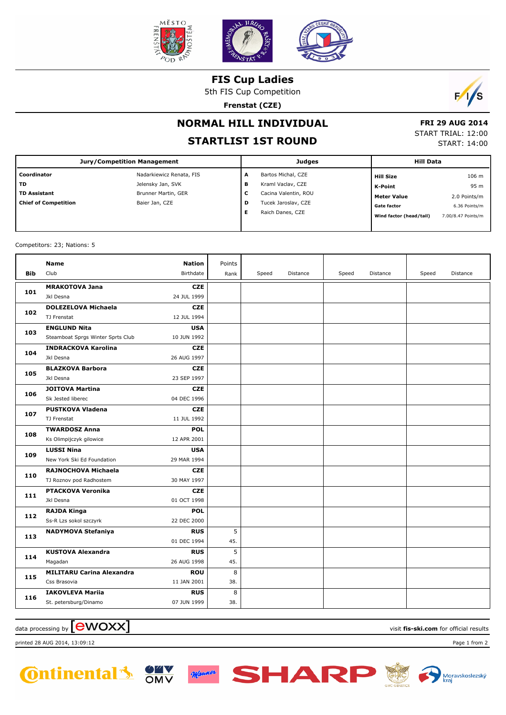

**FIS Cup Ladies**

5th FIS Cup Competition

**Frenstat (CZE)**



## **NORMAL HILL INDIVIDUAL**

## **STARTLIST 1ST ROUND**

 **FRI 29 AUG 2014** START TRIAL: 12:00 START: 14:00

| <b>Jury/Competition Management</b> |                          | <b>Judges</b> |                      |  | <b>Hill Data</b>        |                    |  |
|------------------------------------|--------------------------|---------------|----------------------|--|-------------------------|--------------------|--|
| Coordinator                        | Nadarkiewicz Renata, FIS | A             | Bartos Michal, CZE   |  | <b>Hill Size</b>        | 106 m              |  |
| TD.                                | Jelensky Jan, SVK        | в             | Kraml Vaclav, CZE    |  | K-Point                 | 95 m               |  |
| <b>TD Assistant</b>                | Brunner Martin, GER      | c             | Cacina Valentin, ROU |  | Meter Value             | 2.0 Points/m       |  |
| <b>Chief of Competition</b>        | Baier Jan, CZE           | D             | Tucek Jaroslav, CZE  |  | <b>Gate factor</b>      | 6.36 Points/m      |  |
|                                    |                          | Е             | Raich Danes, CZE     |  | Wind factor (head/tail) | 7.00/8.47 Points/m |  |
|                                    |                          |               |                      |  |                         |                    |  |

Competitors: 23; Nations: 5

|            | <b>Name</b>                       | <b>Nation</b> | Points |       |          |       |          |       |          |
|------------|-----------------------------------|---------------|--------|-------|----------|-------|----------|-------|----------|
| <b>Bib</b> | Club                              | Birthdate     | Rank   | Speed | Distance | Speed | Distance | Speed | Distance |
| 101        | <b>MRAKOTOVA Jana</b>             | <b>CZE</b>    |        |       |          |       |          |       |          |
|            | Jkl Desna                         | 24 JUL 1999   |        |       |          |       |          |       |          |
| 102        | <b>DOLEZELOVA Michaela</b>        | <b>CZE</b>    |        |       |          |       |          |       |          |
|            | TJ Frenstat                       | 12 JUL 1994   |        |       |          |       |          |       |          |
| 103        | <b>ENGLUND Nita</b>               | <b>USA</b>    |        |       |          |       |          |       |          |
|            | Steamboat Sprgs Winter Sprts Club | 10 JUN 1992   |        |       |          |       |          |       |          |
| 104        | <b>INDRACKOVA Karolina</b>        | <b>CZE</b>    |        |       |          |       |          |       |          |
|            | Jkl Desna                         | 26 AUG 1997   |        |       |          |       |          |       |          |
| 105        | <b>BLAZKOVA Barbora</b>           | <b>CZE</b>    |        |       |          |       |          |       |          |
|            | Jkl Desna                         | 23 SEP 1997   |        |       |          |       |          |       |          |
| 106        | <b>JOITOVA Martina</b>            | <b>CZE</b>    |        |       |          |       |          |       |          |
|            | Sk Jested liberec                 | 04 DEC 1996   |        |       |          |       |          |       |          |
| 107        | <b>PUSTKOVA Vladena</b>           | <b>CZE</b>    |        |       |          |       |          |       |          |
|            | TJ Frenstat                       | 11 JUL 1992   |        |       |          |       |          |       |          |
| 108        | <b>TWARDOSZ Anna</b>              | <b>POL</b>    |        |       |          |       |          |       |          |
|            | Ks Olimpijczyk gilowice           | 12 APR 2001   |        |       |          |       |          |       |          |
| 109        | <b>LUSSI Nina</b>                 | <b>USA</b>    |        |       |          |       |          |       |          |
|            | New York Ski Ed Foundation        | 29 MAR 1994   |        |       |          |       |          |       |          |
| 110        | RAJNOCHOVA Michaela               | <b>CZE</b>    |        |       |          |       |          |       |          |
|            | TJ Roznov pod Radhostem           | 30 MAY 1997   |        |       |          |       |          |       |          |
| 111        | <b>PTACKOVA Veronika</b>          | <b>CZE</b>    |        |       |          |       |          |       |          |
|            | Jkl Desna                         | 01 OCT 1998   |        |       |          |       |          |       |          |
| 112        | <b>RAJDA Kinga</b>                | <b>POL</b>    |        |       |          |       |          |       |          |
|            | Ss-R Lzs sokol szczyrk            | 22 DEC 2000   |        |       |          |       |          |       |          |
| 113        | <b>NADYMOVA Stefaniya</b>         | <b>RUS</b>    | 5      |       |          |       |          |       |          |
|            |                                   | 01 DEC 1994   | 45.    |       |          |       |          |       |          |
| 114        | <b>KUSTOVA Alexandra</b>          | <b>RUS</b>    | 5      |       |          |       |          |       |          |
|            | Magadan                           | 26 AUG 1998   | 45.    |       |          |       |          |       |          |
| 115        | <b>MILITARU Carina Alexandra</b>  | <b>ROU</b>    | 8      |       |          |       |          |       |          |
|            | Css Brasovia                      | 11 JAN 2001   | 38.    |       |          |       |          |       |          |
| 116        | <b>IAKOVLEVA Mariia</b>           | <b>RUS</b>    | 8      |       |          |       |          |       |          |
|            | St. petersburg/Dinamo             | 07 JUN 1999   | 38.    |       |          |       |          |       |          |

data processing by **CWOXX** and  $\overline{C}$  and  $\overline{C}$  and  $\overline{C}$  and  $\overline{C}$  and  $\overline{C}$  and  $\overline{C}$  and  $\overline{C}$  and  $\overline{C}$  and  $\overline{C}$  and  $\overline{C}$  and  $\overline{C}$  and  $\overline{C}$  and  $\overline{C}$  and  $\overline{C}$  and  $\overline{C}$ 

printed 28 AUG 2014, 13:09:12 Page 1 from 2